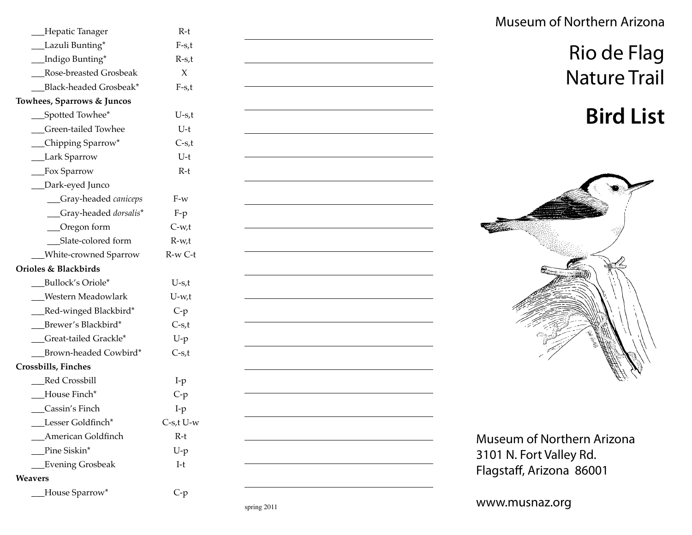| __Hepatic Tanager                     | R-t             |
|---------------------------------------|-----------------|
| __Lazuli Bunting*                     | $F-5$ t         |
| __Indigo Bunting*                     | $R-s,t$         |
| Rose-breasted Grosbeak                | X               |
| Black-headed Grosbeak*                | $F-5$ t         |
| <b>Towhees, Sparrows &amp; Juncos</b> |                 |
| __Spotted Towhee*                     | $U-s,t$         |
| Green-tailed Towhee                   | U-t             |
| $\Box$ Chipping Sparrow*              | $C-s,t$         |
| __Lark Sparrow                        | U-t             |
| __Fox Sparrow                         | $R-t$           |
| _Dark-eyed Junco                      |                 |
| __Gray-headed caniceps                | $F-w$           |
| _Gray-headed dorsalis*                | $F-p$           |
| _Oregon form                          | $C-w,t$         |
| Slate-colored form                    | $R-w,t$         |
| _White-crowned Sparrow                | R-w C-t         |
| Orioles & Blackbirds                  |                 |
| Bullock's Oriole*                     | $U-s,t$         |
| Western Meadowlark                    | U-w,t           |
| __Red-winged Blackbird*               | $C-p$           |
| __Brewer's Blackbird*                 | $C-s,t$         |
| Great-tailed Grackle*                 | $U-p$           |
| Brown-headed Cowbird*                 | $C-s,t$         |
| <b>Crossbills, Finches</b>            |                 |
| Red Crossbill                         | $I-p$           |
| House Finch*                          | $C-p$           |
| Cassin's Finch                        | $I-p$           |
| Lesser Goldfinch*                     | $C$ -s,t $U$ -w |
| American Goldfinch                    | R-t             |
| Pine Siskin*                          | $U-p$           |
| <b>Evening Grosbeak</b>               | $I-t$           |
| Weavers                               |                 |
| House Sparrow*                        | $C-p$           |



Museum of Northern Arizona

## Rio de Flag Nature Trail

# **Bird List**



Museum of Northern Arizona 3101 N. Fort Valley Rd. Flagstaff, Arizona 86001